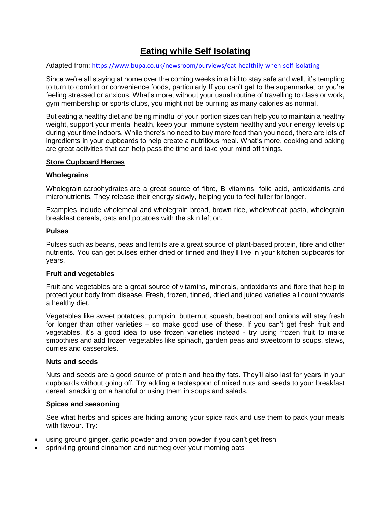## **Eating while Self Isolating**

Adapted from: <https://www.bupa.co.uk/newsroom/ourviews/eat-healthily-when-self-isolating>

Since we're all staying at home over the coming weeks in a bid to stay safe and well, it's tempting to turn to comfort or convenience foods, particularly If you can't get to the supermarket or you're feeling stressed or anxious. What's more, without your usual routine of travelling to class or work, gym membership or sports clubs, you might not be burning as many calories as normal.

But eating a healthy diet and being mindful of your portion sizes can help you to maintain a healthy weight, support your mental health, keep your immune system healthy and your energy levels up during your time indoors. While there's no need to buy more food than you need, there are lots of ingredients in your cupboards to help create a nutritious meal. What's more, cooking and baking are great activities that can help pass the time and take your mind off things.

### **Store Cupboard Heroes**

#### **Wholegrains**

Wholegrain carbohydrates are a great source of fibre, B vitamins, folic acid, antioxidants and micronutrients. They release their energy slowly, helping you to feel fuller for longer.

Examples include wholemeal and wholegrain bread, brown rice, wholewheat pasta, wholegrain breakfast cereals, oats and potatoes with the skin left on.

#### **Pulses**

Pulses such as beans, peas and lentils are a great source of plant-based protein, fibre and other nutrients. You can get pulses either dried or tinned and they'll live in your kitchen cupboards for years.

### **Fruit and vegetables**

Fruit and vegetables are a great source of vitamins, minerals, antioxidants and fibre that help to protect your body from disease. Fresh, frozen, tinned, dried and juiced varieties all count towards a healthy diet.

Vegetables like sweet potatoes, pumpkin, butternut squash, beetroot and onions will stay fresh for longer than other varieties – so make good use of these. If you can't get fresh fruit and vegetables, it's a good idea to use frozen varieties instead - try using frozen fruit to make smoothies and add frozen vegetables like spinach, garden peas and sweetcorn to soups, stews, curries and casseroles.

#### **Nuts and seeds**

Nuts and seeds are a good source of protein and healthy fats. They'll also last for years in your cupboards without going off. Try adding a tablespoon of mixed nuts and seeds to your breakfast cereal, snacking on a handful or using them in soups and salads.

### **Spices and seasoning**

See what herbs and spices are hiding among your spice rack and use them to pack your meals with flavour. Try:

- using ground ginger, garlic powder and onion powder if you can't get fresh
- sprinkling ground cinnamon and nutmeg over your morning oats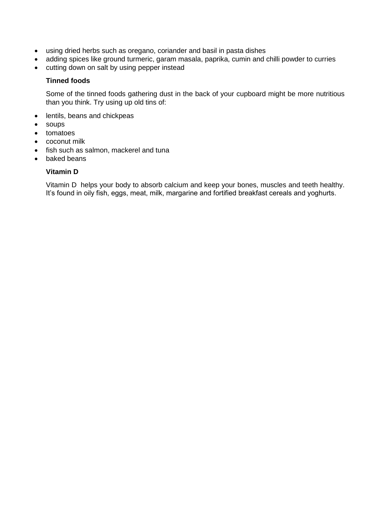- using dried herbs such as oregano, coriander and basil in pasta dishes
- adding spices like ground turmeric, garam masala, paprika, cumin and chilli powder to curries
- cutting down on salt by using pepper instead

## **Tinned foods**

Some of the tinned foods gathering dust in the back of your cupboard might be more nutritious than you think. Try using up old tins of:

- lentils, beans and chickpeas
- soups
- tomatoes
- coconut milk
- fish such as salmon, mackerel and tuna
- baked beans

## **Vitamin D**

Vitamin D helps your body to absorb calcium and keep your bones, muscles and teeth healthy. It's found in oily fish, eggs, meat, milk, margarine and fortified breakfast cereals and yoghurts.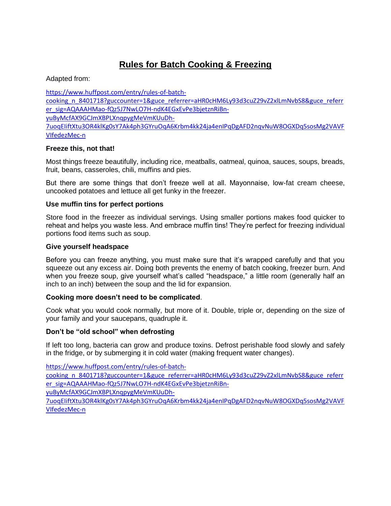# **Rules for Batch Cooking & Freezing**

Adapted from:

[https://www.huffpost.com/entry/rules-of-batch](https://www.huffpost.com/entry/rules-of-batch-cooking_n_8401718?guccounter=1&guce_referrer=aHR0cHM6Ly93d3cuZ29vZ2xlLmNvbS8&guce_referrer_sig=AQAAAHMao-fQz5J7NwLO7H-ndK4EGxEvPe3bjetznRiBn-yuByMcfAX9GCJmXBPLXnqpygMeVmKUuDh-7uoqEIiftXtu3OR4klKg0sY7Ak4ph3GYruOqA6Krbm4kk24ja4enIPqDgAFD2nqvNuW8OGXDq5sosMg2VAVFVIfedezMec-n)[cooking\\_n\\_8401718?guccounter=1&guce\\_referrer=aHR0cHM6Ly93d3cuZ29vZ2xlLmNvbS8&guce\\_referr](https://www.huffpost.com/entry/rules-of-batch-cooking_n_8401718?guccounter=1&guce_referrer=aHR0cHM6Ly93d3cuZ29vZ2xlLmNvbS8&guce_referrer_sig=AQAAAHMao-fQz5J7NwLO7H-ndK4EGxEvPe3bjetznRiBn-yuByMcfAX9GCJmXBPLXnqpygMeVmKUuDh-7uoqEIiftXtu3OR4klKg0sY7Ak4ph3GYruOqA6Krbm4kk24ja4enIPqDgAFD2nqvNuW8OGXDq5sosMg2VAVFVIfedezMec-n) [er\\_sig=AQAAAHMao-fQz5J7NwLO7H-ndK4EGxEvPe3bjetznRiBn](https://www.huffpost.com/entry/rules-of-batch-cooking_n_8401718?guccounter=1&guce_referrer=aHR0cHM6Ly93d3cuZ29vZ2xlLmNvbS8&guce_referrer_sig=AQAAAHMao-fQz5J7NwLO7H-ndK4EGxEvPe3bjetznRiBn-yuByMcfAX9GCJmXBPLXnqpygMeVmKUuDh-7uoqEIiftXtu3OR4klKg0sY7Ak4ph3GYruOqA6Krbm4kk24ja4enIPqDgAFD2nqvNuW8OGXDq5sosMg2VAVFVIfedezMec-n)[yuByMcfAX9GCJmXBPLXnqpygMeVmKUuDh-](https://www.huffpost.com/entry/rules-of-batch-cooking_n_8401718?guccounter=1&guce_referrer=aHR0cHM6Ly93d3cuZ29vZ2xlLmNvbS8&guce_referrer_sig=AQAAAHMao-fQz5J7NwLO7H-ndK4EGxEvPe3bjetznRiBn-yuByMcfAX9GCJmXBPLXnqpygMeVmKUuDh-7uoqEIiftXtu3OR4klKg0sY7Ak4ph3GYruOqA6Krbm4kk24ja4enIPqDgAFD2nqvNuW8OGXDq5sosMg2VAVFVIfedezMec-n)[7uoqEIiftXtu3OR4klKg0sY7Ak4ph3GYruOqA6Krbm4kk24ja4enIPqDgAFD2nqvNuW8OGXDq5sosMg2VAVF](https://www.huffpost.com/entry/rules-of-batch-cooking_n_8401718?guccounter=1&guce_referrer=aHR0cHM6Ly93d3cuZ29vZ2xlLmNvbS8&guce_referrer_sig=AQAAAHMao-fQz5J7NwLO7H-ndK4EGxEvPe3bjetznRiBn-yuByMcfAX9GCJmXBPLXnqpygMeVmKUuDh-7uoqEIiftXtu3OR4klKg0sY7Ak4ph3GYruOqA6Krbm4kk24ja4enIPqDgAFD2nqvNuW8OGXDq5sosMg2VAVFVIfedezMec-n) [VIfedezMec-n](https://www.huffpost.com/entry/rules-of-batch-cooking_n_8401718?guccounter=1&guce_referrer=aHR0cHM6Ly93d3cuZ29vZ2xlLmNvbS8&guce_referrer_sig=AQAAAHMao-fQz5J7NwLO7H-ndK4EGxEvPe3bjetznRiBn-yuByMcfAX9GCJmXBPLXnqpygMeVmKUuDh-7uoqEIiftXtu3OR4klKg0sY7Ak4ph3GYruOqA6Krbm4kk24ja4enIPqDgAFD2nqvNuW8OGXDq5sosMg2VAVFVIfedezMec-n)

## **Freeze this, not that!**

Most things freeze beautifully, including rice, meatballs, oatmeal, quinoa, sauces, soups, breads, fruit, beans, casseroles, chili, muffins and pies.

But there are some things that don't freeze well at all. Mayonnaise, low-fat cream cheese, uncooked potatoes and lettuce all get funky in the freezer.

## **Use muffin tins for perfect portions**

Store food in the freezer as individual servings. Using smaller portions makes food quicker to reheat and helps you waste less. And embrace muffin tins! They're perfect for freezing individual portions food items such as soup.

### **Give yourself headspace**

Before you can freeze anything, you must make sure that it's wrapped carefully and that you squeeze out any excess air. Doing both prevents the enemy of batch cooking, freezer burn. And when you freeze soup, give yourself what's called "headspace," a little room (generally half an inch to an inch) between the soup and the lid for expansion.

### **Cooking more doesn't need to be complicated**.

Cook what you would cook normally, but more of it. Double, triple or, depending on the size of your family and your saucepans, quadruple it.

### **Don't be "old school" when defrosting**

If left too long, bacteria can grow and produce toxins. Defrost perishable food slowly and safely in the fridge, or by submerging it in cold water (making frequent water changes).

[https://www.huffpost.com/entry/rules-of-batch-](https://www.huffpost.com/entry/rules-of-batch-cooking_n_8401718?guccounter=1&guce_referrer=aHR0cHM6Ly93d3cuZ29vZ2xlLmNvbS8&guce_referrer_sig=AQAAAHMao-fQz5J7NwLO7H-ndK4EGxEvPe3bjetznRiBn-yuByMcfAX9GCJmXBPLXnqpygMeVmKUuDh-7uoqEIiftXtu3OR4klKg0sY7Ak4ph3GYruOqA6Krbm4kk24ja4enIPqDgAFD2nqvNuW8OGXDq5sosMg2VAVFVIfedezMec-n)

[cooking\\_n\\_8401718?guccounter=1&guce\\_referrer=aHR0cHM6Ly93d3cuZ29vZ2xlLmNvbS8&guce\\_referr](https://www.huffpost.com/entry/rules-of-batch-cooking_n_8401718?guccounter=1&guce_referrer=aHR0cHM6Ly93d3cuZ29vZ2xlLmNvbS8&guce_referrer_sig=AQAAAHMao-fQz5J7NwLO7H-ndK4EGxEvPe3bjetznRiBn-yuByMcfAX9GCJmXBPLXnqpygMeVmKUuDh-7uoqEIiftXtu3OR4klKg0sY7Ak4ph3GYruOqA6Krbm4kk24ja4enIPqDgAFD2nqvNuW8OGXDq5sosMg2VAVFVIfedezMec-n) [er\\_sig=AQAAAHMao-fQz5J7NwLO7H-ndK4EGxEvPe3bjetznRiBn-](https://www.huffpost.com/entry/rules-of-batch-cooking_n_8401718?guccounter=1&guce_referrer=aHR0cHM6Ly93d3cuZ29vZ2xlLmNvbS8&guce_referrer_sig=AQAAAHMao-fQz5J7NwLO7H-ndK4EGxEvPe3bjetznRiBn-yuByMcfAX9GCJmXBPLXnqpygMeVmKUuDh-7uoqEIiftXtu3OR4klKg0sY7Ak4ph3GYruOqA6Krbm4kk24ja4enIPqDgAFD2nqvNuW8OGXDq5sosMg2VAVFVIfedezMec-n)

[yuByMcfAX9GCJmXBPLXnqpygMeVmKUuDh-](https://www.huffpost.com/entry/rules-of-batch-cooking_n_8401718?guccounter=1&guce_referrer=aHR0cHM6Ly93d3cuZ29vZ2xlLmNvbS8&guce_referrer_sig=AQAAAHMao-fQz5J7NwLO7H-ndK4EGxEvPe3bjetznRiBn-yuByMcfAX9GCJmXBPLXnqpygMeVmKUuDh-7uoqEIiftXtu3OR4klKg0sY7Ak4ph3GYruOqA6Krbm4kk24ja4enIPqDgAFD2nqvNuW8OGXDq5sosMg2VAVFVIfedezMec-n)

[7uoqEIiftXtu3OR4klKg0sY7Ak4ph3GYruOqA6Krbm4kk24ja4enIPqDgAFD2nqvNuW8OGXDq5sosMg2VAVF](https://www.huffpost.com/entry/rules-of-batch-cooking_n_8401718?guccounter=1&guce_referrer=aHR0cHM6Ly93d3cuZ29vZ2xlLmNvbS8&guce_referrer_sig=AQAAAHMao-fQz5J7NwLO7H-ndK4EGxEvPe3bjetznRiBn-yuByMcfAX9GCJmXBPLXnqpygMeVmKUuDh-7uoqEIiftXtu3OR4klKg0sY7Ak4ph3GYruOqA6Krbm4kk24ja4enIPqDgAFD2nqvNuW8OGXDq5sosMg2VAVFVIfedezMec-n) [VIfedezMec-n](https://www.huffpost.com/entry/rules-of-batch-cooking_n_8401718?guccounter=1&guce_referrer=aHR0cHM6Ly93d3cuZ29vZ2xlLmNvbS8&guce_referrer_sig=AQAAAHMao-fQz5J7NwLO7H-ndK4EGxEvPe3bjetznRiBn-yuByMcfAX9GCJmXBPLXnqpygMeVmKUuDh-7uoqEIiftXtu3OR4klKg0sY7Ak4ph3GYruOqA6Krbm4kk24ja4enIPqDgAFD2nqvNuW8OGXDq5sosMg2VAVFVIfedezMec-n)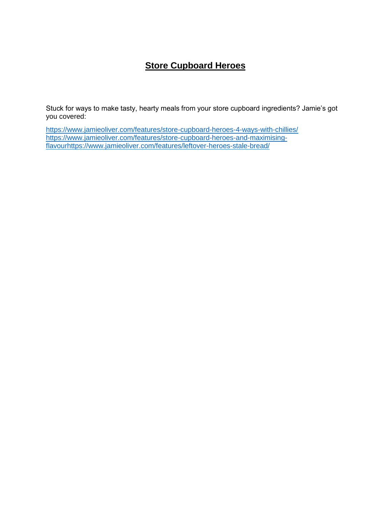# **Store Cupboard Heroes**

Stuck for ways to make tasty, hearty meals from your store cupboard ingredients? Jamie's got you covered:

https://www.jamieoliver.com/features/store-cupboard-heroes-4-ways-with-chillies/ [https://www.jamieoliver.com/features/store-cupboard-heroes-and-maximising](https://www.jamieoliver.com/features/store-cupboard-heroes-and-maximising-flavour)[flavour](https://www.jamieoliver.com/features/store-cupboard-heroes-and-maximising-flavour)<https://www.jamieoliver.com/features/leftover-heroes-stale-bread/>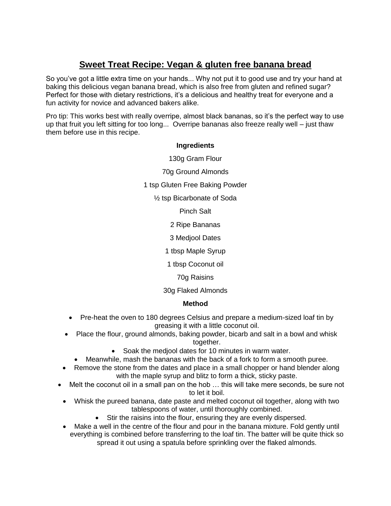# **Sweet Treat Recipe: Vegan & gluten free banana bread**

So you've got a little extra time on your hands... Why not put it to good use and try your hand at baking this delicious vegan banana bread, which is also free from gluten and refined sugar? Perfect for those with dietary restrictions, it's a delicious and healthy treat for everyone and a fun activity for novice and advanced bakers alike.

Pro tip: This works best with really overripe, almost black bananas, so it's the perfect way to use up that fruit you left sitting for too long... Overripe bananas also freeze really well – just thaw them before use in this recipe.

## **Ingredients**

130g Gram Flour

70g Ground Almonds

1 tsp Gluten Free Baking Powder

½ tsp Bicarbonate of Soda

Pinch Salt

2 Ripe Bananas

3 Medjool Dates

1 tbsp Maple Syrup

1 tbsp Coconut oil

70g Raisins

30g Flaked Almonds

### **Method**

- Pre-heat the oven to 180 degrees Celsius and prepare a medium-sized loaf tin by greasing it with a little coconut oil.
- Place the flour, ground almonds, baking powder, bicarb and salt in a bowl and whisk together.
	- Soak the medjool dates for 10 minutes in warm water.
	- Meanwhile, mash the bananas with the back of a fork to form a smooth puree.
- Remove the stone from the dates and place in a small chopper or hand blender along with the maple syrup and blitz to form a thick, sticky paste.
- Melt the coconut oil in a small pan on the hob … this will take mere seconds, be sure not to let it boil.
	- Whisk the pureed banana, date paste and melted coconut oil together, along with two tablespoons of water, until thoroughly combined.
		- Stir the raisins into the flour, ensuring they are evenly dispersed.
	- Make a well in the centre of the flour and pour in the banana mixture. Fold gently until everything is combined before transferring to the loaf tin. The batter will be quite thick so spread it out using a spatula before sprinkling over the flaked almonds.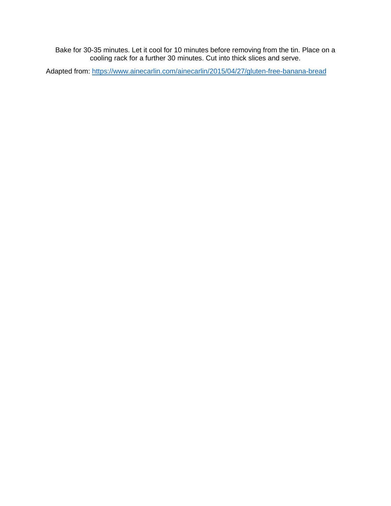Bake for 30-35 minutes. Let it cool for 10 minutes before removing from the tin. Place on a cooling rack for a further 30 minutes. Cut into thick slices and serve.

Adapted from:<https://www.ainecarlin.com/ainecarlin/2015/04/27/gluten-free-banana-bread>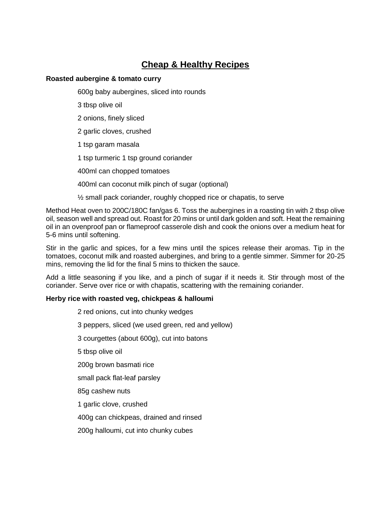## **Cheap & Healthy Recipes**

## **Roasted aubergine & tomato curry**

600g baby aubergines, sliced into rounds

3 tbsp olive oil

- 2 onions, finely sliced
- 2 garlic cloves, crushed
- 1 tsp garam masala
- 1 tsp turmeric 1 tsp ground coriander
- 400ml can chopped tomatoes
- 400ml can coconut milk pinch of sugar (optional)
- $\frac{1}{2}$  small pack coriander, roughly chopped rice or chapatis, to serve

Method Heat oven to 200C/180C fan/gas 6. Toss the aubergines in a roasting tin with 2 tbsp olive oil, season well and spread out. Roast for 20 mins or until dark golden and soft. Heat the remaining oil in an ovenproof pan or flameproof casserole dish and cook the onions over a medium heat for 5-6 mins until softening.

Stir in the garlic and spices, for a few mins until the spices release their aromas. Tip in the tomatoes, coconut milk and roasted aubergines, and bring to a gentle simmer. Simmer for 20-25 mins, removing the lid for the final 5 mins to thicken the sauce.

Add a little seasoning if you like, and a pinch of sugar if it needs it. Stir through most of the coriander. Serve over rice or with chapatis, scattering with the remaining coriander.

## **Herby rice with roasted veg, chickpeas & halloumi**

2 red onions, cut into chunky wedges 3 peppers, sliced (we used green, red and yellow) 3 courgettes (about 600g), cut into batons 5 tbsp olive oil 200g brown basmati rice small pack flat-leaf parsley 85g cashew nuts 1 garlic clove, crushed 400g can chickpeas, drained and rinsed 200g halloumi, cut into chunky cubes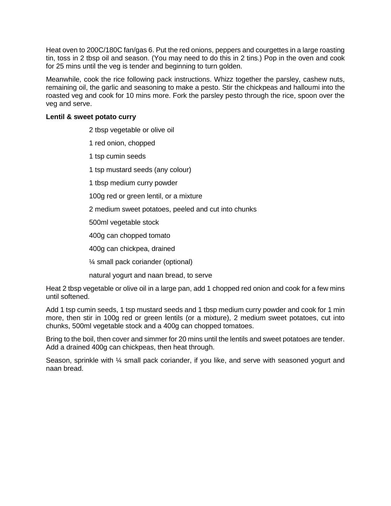Heat oven to 200C/180C fan/gas 6. Put the red onions, peppers and courgettes in a large roasting tin, toss in 2 tbsp oil and season. (You may need to do this in 2 tins.) Pop in the oven and cook for 25 mins until the veg is tender and beginning to turn golden.

Meanwhile, cook the rice following pack instructions. Whizz together the parsley, cashew nuts, remaining oil, the garlic and seasoning to make a pesto. Stir the chickpeas and halloumi into the roasted veg and cook for 10 mins more. Fork the parsley pesto through the rice, spoon over the veg and serve.

### **Lentil & sweet potato curry**

2 tbsp vegetable or olive oil

1 red onion, chopped

1 tsp cumin seeds

1 tsp mustard seeds (any colour)

1 tbsp medium curry powder

100g red or green lentil, or a mixture

2 medium sweet potatoes, peeled and cut into chunks

500ml vegetable stock

400g can chopped tomato

400g can chickpea, drained

¼ small pack coriander (optional)

natural yogurt and naan bread, to serve

Heat 2 tbsp vegetable or olive oil in a large pan, add 1 chopped red onion and cook for a few mins until softened.

Add 1 tsp cumin seeds, 1 tsp mustard seeds and 1 tbsp medium curry powder and cook for 1 min more, then stir in 100g red or green lentils (or a mixture), 2 medium sweet potatoes, cut into chunks, 500ml vegetable stock and a 400g can chopped tomatoes.

Bring to the boil, then cover and simmer for 20 mins until the lentils and sweet potatoes are tender. Add a drained 400g can chickpeas, then heat through.

Season, sprinkle with  $\frac{1}{4}$  small pack coriander, if you like, and serve with seasoned yogurt and naan bread.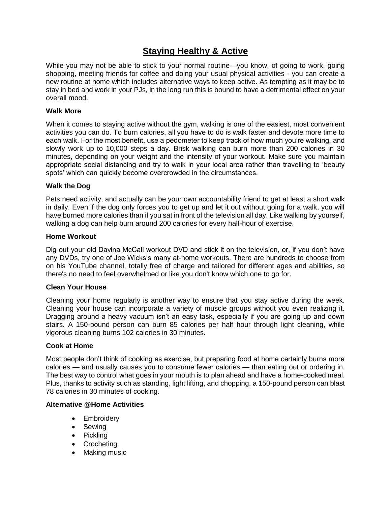## **Staying Healthy & Active**

While you may not be able to stick to your normal routine—you know, of going to work, going shopping, meeting friends for coffee and doing your usual physical activities - you can create a new routine at home which includes alternative ways to keep active. As tempting as it may be to stay in bed and work in your PJs, in the long run this is bound to have a detrimental effect on your overall mood.

## **Walk More**

When it comes to staying active without the gym, walking is one of the easiest, most convenient activities you can do. To burn calories, all you have to do is walk faster and devote more time to each walk. For the most benefit, use a pedometer to keep track of how much you're walking, and slowly work up to 10,000 steps a day. Brisk walking can burn more than 200 calories in 30 minutes, depending on your weight and the intensity of your workout. Make sure you maintain appropriate social distancing and try to walk in your local area rather than travelling to 'beauty spots' which can quickly become overcrowded in the circumstances.

## **Walk the Dog**

Pets need activity, and actually can be your own accountability friend to get at least a short walk in daily. Even if the dog only forces you to get up and let it out without going for a walk, you will have burned more calories than if you sat in front of the television all day. Like walking by yourself, walking a dog can help burn around 200 calories for every half-hour of exercise.

### **Home Workout**

Dig out your old Davina McCall workout DVD and stick it on the television, or, if you don't have any DVDs, try one of Joe Wicks's many at-home workouts. There are hundreds to choose from on his YouTube channel, totally free of charge and tailored for different ages and abilities, so there's no need to feel overwhelmed or like you don't know which one to go for.

### **Clean Your House**

Cleaning your home regularly is another way to ensure that you stay active during the week. Cleaning your house can incorporate a variety of muscle groups without you even realizing it. Dragging around a heavy vacuum isn't an easy task, especially if you are going up and down stairs. A 150-pound person can burn 85 calories per half hour through light cleaning, while vigorous cleaning burns 102 calories in 30 minutes.

### **Cook at Home**

Most people don't think of cooking as exercise, but preparing food at home certainly burns more calories — and usually causes you to consume fewer calories — than eating out or ordering in. The best way to control what goes in your mouth is to plan ahead and have a home-cooked meal. Plus, thanks to activity such as standing, light lifting, and chopping, a 150-pound person can blast 78 calories in 30 minutes of cooking.

## **Alternative @Home Activities**

- Embroidery
- Sewing
- Pickling
- Crocheting
- Making music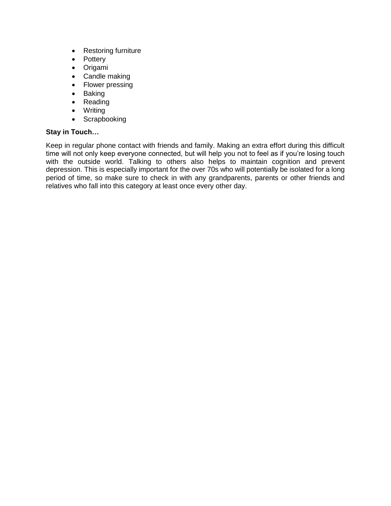- Restoring furniture
- Pottery
- **•** Origami
- Candle making
- Flower pressing
- Baking
- Reading
- Writing
- Scrapbooking

## **Stay in Touch…**

Keep in regular phone contact with friends and family. Making an extra effort during this difficult time will not only keep everyone connected, but will help you not to feel as if you're losing touch with the outside world. Talking to others also helps to maintain cognition and prevent depression. This is especially important for the over 70s who will potentially be isolated for a long period of time, so make sure to check in with any grandparents, parents or other friends and relatives who fall into this category at least once every other day.